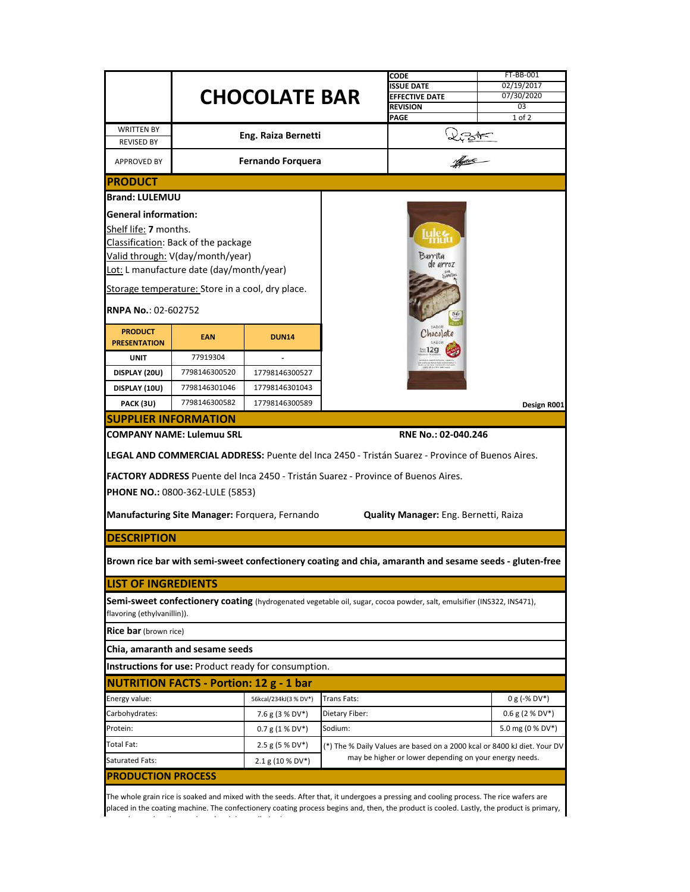|                                                                                                        |                                                  |                                                      |                     | CODE                                                                                                                  | FT-BB-001         |  |  |  |
|--------------------------------------------------------------------------------------------------------|--------------------------------------------------|------------------------------------------------------|---------------------|-----------------------------------------------------------------------------------------------------------------------|-------------------|--|--|--|
|                                                                                                        |                                                  |                                                      |                     | <b>ISSUE DATE</b>                                                                                                     | 02/19/2017        |  |  |  |
|                                                                                                        |                                                  | <b>CHOCOLATE BAR</b>                                 |                     | <b>EFFECTIVE DATE</b>                                                                                                 | 07/30/2020        |  |  |  |
|                                                                                                        |                                                  |                                                      |                     | <b>REVISION</b>                                                                                                       | 03                |  |  |  |
|                                                                                                        |                                                  |                                                      |                     | PAGE                                                                                                                  | 1 of 2            |  |  |  |
| <b>WRITTEN BY</b>                                                                                      |                                                  | Eng. Raiza Bernetti                                  |                     |                                                                                                                       |                   |  |  |  |
| <b>REVISED BY</b>                                                                                      |                                                  |                                                      |                     | $\frac{1}{\sqrt{1+\frac{1}{2}}\sqrt{1-\frac{1}{2}}\sqrt{1-\frac{1}{2}}\sqrt{1-\frac{1}{2}}}}$                         |                   |  |  |  |
| <b>APPROVED BY</b>                                                                                     |                                                  | <b>Fernando Forquera</b>                             |                     |                                                                                                                       |                   |  |  |  |
| <b>PRODUCT</b>                                                                                         |                                                  |                                                      |                     |                                                                                                                       |                   |  |  |  |
| <b>Brand: LULEMUU</b>                                                                                  |                                                  |                                                      |                     |                                                                                                                       |                   |  |  |  |
| <b>General information:</b>                                                                            |                                                  |                                                      | Barrita<br>de arroz |                                                                                                                       |                   |  |  |  |
| Shelf life: 7 months.                                                                                  |                                                  |                                                      |                     |                                                                                                                       |                   |  |  |  |
|                                                                                                        | Classification: Back of the package              |                                                      |                     |                                                                                                                       |                   |  |  |  |
|                                                                                                        | Valid through: V(day/month/year)                 |                                                      |                     |                                                                                                                       |                   |  |  |  |
|                                                                                                        | Lot: L manufacture date (day/month/year)         |                                                      |                     |                                                                                                                       |                   |  |  |  |
|                                                                                                        | Storage temperature: Store in a cool, dry place. |                                                      |                     |                                                                                                                       |                   |  |  |  |
| <b>RNPA No.: 02-602752</b>                                                                             |                                                  |                                                      |                     |                                                                                                                       |                   |  |  |  |
|                                                                                                        |                                                  |                                                      |                     |                                                                                                                       |                   |  |  |  |
| <b>PRODUCT</b><br><b>PRESENTATION</b>                                                                  | <b>EAN</b>                                       | <b>DUN14</b>                                         |                     | Chocolate                                                                                                             |                   |  |  |  |
| <b>UNIT</b>                                                                                            | 77919304                                         |                                                      |                     |                                                                                                                       |                   |  |  |  |
| DISPLAY (20U)                                                                                          | 7798146300520                                    | 17798146300527                                       |                     |                                                                                                                       |                   |  |  |  |
| DISPLAY (10U)                                                                                          | 7798146301046                                    | 17798146301043                                       |                     |                                                                                                                       |                   |  |  |  |
| PACK (3U)                                                                                              | 7798146300582                                    | 17798146300589                                       |                     |                                                                                                                       |                   |  |  |  |
|                                                                                                        | <b>SUPPLIER INFORMATION</b>                      |                                                      |                     |                                                                                                                       | Design R001       |  |  |  |
| <b>COMPANY NAME: Lulemuu SRL</b><br>RNE No.: 02-040.246                                                |                                                  |                                                      |                     |                                                                                                                       |                   |  |  |  |
| <b>LEGAL AND COMMERCIAL ADDRESS:</b> Puente del Inca 2450 - Tristán Suarez - Province of Buenos Aires. |                                                  |                                                      |                     |                                                                                                                       |                   |  |  |  |
|                                                                                                        |                                                  |                                                      |                     |                                                                                                                       |                   |  |  |  |
|                                                                                                        |                                                  |                                                      |                     | <b>FACTORY ADDRESS</b> Puente del Inca 2450 - Tristán Suarez - Province of Buenos Aires.                              |                   |  |  |  |
|                                                                                                        | <b>PHONE NO.: 0800-362-LULE (5853)</b>           |                                                      |                     |                                                                                                                       |                   |  |  |  |
|                                                                                                        |                                                  | Manufacturing Site Manager: Forquera, Fernando       |                     |                                                                                                                       |                   |  |  |  |
|                                                                                                        |                                                  |                                                      |                     | <b>Quality Manager:</b> Eng. Bernetti, Raiza                                                                          |                   |  |  |  |
| <b>DESCRIPTION</b>                                                                                     |                                                  |                                                      |                     |                                                                                                                       |                   |  |  |  |
|                                                                                                        |                                                  |                                                      |                     | Brown rice bar with semi-sweet confectionery coating and chia, amaranth and sesame seeds - gluten-free                |                   |  |  |  |
| <b>LIST OF INGREDIENTS</b>                                                                             |                                                  |                                                      |                     |                                                                                                                       |                   |  |  |  |
|                                                                                                        |                                                  |                                                      |                     | Semi-sweet confectionery coating (hydrogenated vegetable oil, sugar, cocoa powder, salt, emulsifier (INS322, INS471), |                   |  |  |  |
| flavoring (ethylvanillin)).                                                                            |                                                  |                                                      |                     |                                                                                                                       |                   |  |  |  |
| Rice bar (brown rice)                                                                                  |                                                  |                                                      |                     |                                                                                                                       |                   |  |  |  |
|                                                                                                        | Chia, amaranth and sesame seeds                  |                                                      |                     |                                                                                                                       |                   |  |  |  |
|                                                                                                        |                                                  | Instructions for use: Product ready for consumption. |                     |                                                                                                                       |                   |  |  |  |
|                                                                                                        | <b>NUTRITION FACTS - Portion: 12 g - 1 bar</b>   |                                                      |                     |                                                                                                                       |                   |  |  |  |
| Energy value:                                                                                          |                                                  | 56kcal/234kJ(3 % DV*)                                | Trans Fats:         |                                                                                                                       | $0 g (-\% DV^*)$  |  |  |  |
| Carbohydrates:                                                                                         |                                                  | 7.6 g (3 % DV*)                                      | Dietary Fiber:      |                                                                                                                       | $0.6$ g (2 % DV*) |  |  |  |
| Protein:                                                                                               |                                                  | $0.7 g (1 % DV*)$                                    | Sodium:             |                                                                                                                       | 5.0 mg (0 % DV*)  |  |  |  |
| Total Fat:                                                                                             |                                                  | $2.5$ g (5 % DV*)                                    |                     | (*) The % Daily Values are based on a 2000 kcal or 8400 kJ diet. Your DV                                              |                   |  |  |  |
| Saturated Fats:                                                                                        |                                                  | 2.1 g (10 % DV*)                                     |                     | may be higher or lower depending on your energy needs.                                                                |                   |  |  |  |
| <b>PRODUCTION PROCESS</b>                                                                              |                                                  |                                                      |                     |                                                                                                                       |                   |  |  |  |
|                                                                                                        |                                                  |                                                      |                     |                                                                                                                       |                   |  |  |  |

The whole grain rice is soaked and mixed with the seeds. After that, it undergoes a pressing and cooling process. The rice wafers are placed in the coating machine. The confectionery coating process begins and, then, the product is cooled. Lastly, the product is primary,

secondary and tertiary-packaged and then palletized.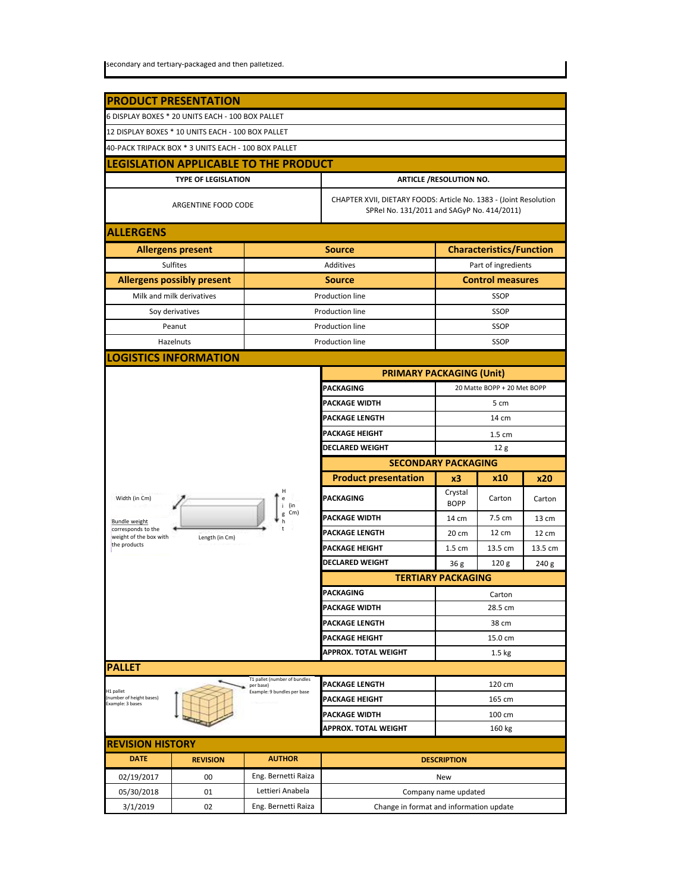|                                                              | <b>PRODUCT PRESENTATION</b>                         |                                                                          |                                                                                                                 |                             |                                 |         |  |
|--------------------------------------------------------------|-----------------------------------------------------|--------------------------------------------------------------------------|-----------------------------------------------------------------------------------------------------------------|-----------------------------|---------------------------------|---------|--|
|                                                              | 6 DISPLAY BOXES * 20 UNITS EACH - 100 BOX PALLET    |                                                                          |                                                                                                                 |                             |                                 |         |  |
|                                                              | 12 DISPLAY BOXES * 10 UNITS EACH - 100 BOX PALLET   |                                                                          |                                                                                                                 |                             |                                 |         |  |
|                                                              | 40-PACK TRIPACK BOX * 3 UNITS EACH - 100 BOX PALLET |                                                                          |                                                                                                                 |                             |                                 |         |  |
|                                                              |                                                     | <b>LEGISLATION APPLICABLE TO THE PRODUCT</b>                             |                                                                                                                 |                             |                                 |         |  |
|                                                              | <b>TYPE OF LEGISLATION</b>                          |                                                                          | <b>ARTICLE /RESOLUTION NO.</b>                                                                                  |                             |                                 |         |  |
| ARGENTINE FOOD CODE                                          |                                                     |                                                                          | CHAPTER XVII, DIETARY FOODS: Article No. 1383 - (Joint Resolution<br>SPRel No. 131/2011 and SAGyP No. 414/2011) |                             |                                 |         |  |
| <b>ALLERGENS</b>                                             |                                                     |                                                                          |                                                                                                                 |                             |                                 |         |  |
|                                                              | <b>Allergens present</b>                            |                                                                          | <b>Source</b>                                                                                                   |                             | <b>Characteristics/Function</b> |         |  |
|                                                              | <b>Sulfites</b>                                     |                                                                          | Additives                                                                                                       |                             | Part of ingredients             |         |  |
| <b>Allergens possibly present</b>                            |                                                     | <b>Source</b>                                                            | <b>Control measures</b>                                                                                         |                             |                                 |         |  |
| Milk and milk derivatives                                    |                                                     | Production line                                                          | <b>SSOP</b>                                                                                                     |                             |                                 |         |  |
| Soy derivatives                                              |                                                     | Production line<br><b>SSOP</b>                                           |                                                                                                                 |                             |                                 |         |  |
| Peanut                                                       |                                                     | Production line                                                          | <b>SSOP</b>                                                                                                     |                             |                                 |         |  |
| Hazelnuts                                                    |                                                     | Production line                                                          | <b>SSOP</b>                                                                                                     |                             |                                 |         |  |
|                                                              | <b>LOGISTICS INFORMATION</b>                        |                                                                          |                                                                                                                 |                             |                                 |         |  |
|                                                              |                                                     |                                                                          | <b>PRIMARY PACKAGING (Unit)</b>                                                                                 |                             |                                 |         |  |
|                                                              |                                                     |                                                                          | PACKAGING                                                                                                       | 20 Matte BOPP + 20 Met BOPP |                                 |         |  |
|                                                              |                                                     |                                                                          | <b>PACKAGE WIDTH</b>                                                                                            | 5 cm                        |                                 |         |  |
|                                                              |                                                     |                                                                          | <b>PACKAGE LENGTH</b>                                                                                           | 14 cm                       |                                 |         |  |
|                                                              |                                                     |                                                                          | <b>PACKAGE HEIGHT</b>                                                                                           | 1.5 cm                      |                                 |         |  |
|                                                              |                                                     |                                                                          | <b>DECLARED WEIGHT</b>                                                                                          | 12g                         |                                 |         |  |
|                                                              |                                                     |                                                                          | <b>SECONDARY PACKAGING</b>                                                                                      |                             |                                 |         |  |
|                                                              |                                                     |                                                                          | <b>Product presentation</b>                                                                                     | x3                          | <b>x10</b>                      | x20     |  |
| н<br>Width (in Cm)<br>i (in<br>g Cm)<br><b>Bundle weight</b> |                                                     |                                                                          | PACKAGING                                                                                                       | Crystal<br><b>BOPP</b>      | Carton                          | Carton  |  |
|                                                              |                                                     |                                                                          | <b>PACKAGE WIDTH</b>                                                                                            | 14 cm                       | 7.5 cm                          | 13 cm   |  |
| corresponds to the<br>weight of the box with                 | Length (in Cm)                                      |                                                                          | <b>PACKAGE LENGTH</b>                                                                                           | 20 cm                       | 12 cm                           | 12 cm   |  |
| the products                                                 |                                                     |                                                                          | <b>PACKAGE HEIGHT</b>                                                                                           | 1.5 cm                      | 13.5 cm                         | 13.5 cm |  |
|                                                              |                                                     |                                                                          | <b>DECLARED WEIGHT</b>                                                                                          | 36g                         | 120 <sub>g</sub>                | 240 g   |  |
|                                                              |                                                     |                                                                          |                                                                                                                 | <b>TERTIARY PACKAGING</b>   |                                 |         |  |
|                                                              |                                                     |                                                                          | PACKAGING                                                                                                       | Carton                      |                                 |         |  |
|                                                              |                                                     |                                                                          | <b>PACKAGE WIDTH</b>                                                                                            | 28.5 cm                     |                                 |         |  |
|                                                              |                                                     |                                                                          | <b>PACKAGE LENGTH</b>                                                                                           | 38 cm                       |                                 |         |  |
|                                                              |                                                     |                                                                          | <b>PACKAGE HEIGHT</b>                                                                                           | 15.0 cm                     |                                 |         |  |
|                                                              |                                                     |                                                                          | APPROX. TOTAL WEIGHT                                                                                            | 1.5 kg                      |                                 |         |  |
| <b>PALLET</b>                                                |                                                     |                                                                          |                                                                                                                 |                             |                                 |         |  |
| H1 pallet                                                    |                                                     | T1 pallet (number of bundles<br>per base)<br>Example: 9 bundles per base | <b>PACKAGE LENGTH</b>                                                                                           | 120 cm                      |                                 |         |  |
| (number of height bases)<br>Example: 3 bases                 |                                                     |                                                                          | <b>PACKAGE HEIGHT</b>                                                                                           | 165 cm                      |                                 |         |  |
|                                                              |                                                     |                                                                          | <b>PACKAGE WIDTH</b>                                                                                            | 100 cm                      |                                 |         |  |
|                                                              |                                                     |                                                                          | <b>APPROX. TOTAL WEIGHT</b>                                                                                     | 160 kg                      |                                 |         |  |
| <b>REVISION HISTORY</b>                                      |                                                     |                                                                          |                                                                                                                 |                             |                                 |         |  |
| <b>DATE</b>                                                  | <b>REVISION</b>                                     | <b>AUTHOR</b>                                                            |                                                                                                                 | <b>DESCRIPTION</b>          |                                 |         |  |
| 02/19/2017                                                   | 00                                                  | Eng. Bernetti Raiza                                                      |                                                                                                                 | New                         |                                 |         |  |
| 05/30/2018                                                   | 01                                                  | Lettieri Anabela                                                         | Company name updated                                                                                            |                             |                                 |         |  |
| 3/1/2019                                                     | 02                                                  | Eng. Bernetti Raiza                                                      | Change in format and information update                                                                         |                             |                                 |         |  |

T